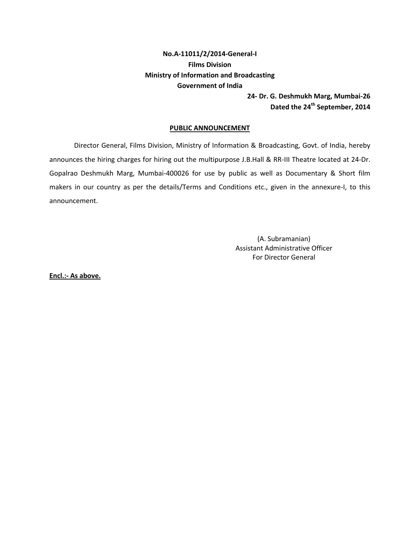### **No.A-11011/2/2014-General-I Films Division Ministry of Information and Broadcasting Government of India**

**24- Dr. G. Deshmukh Marg, Mumbai-26 Dated the 24th September, 2014**

#### **PUBLIC ANNOUNCEMENT**

Director General, Films Division, Ministry of Information & Broadcasting, Govt. of India, hereby announces the hiring charges for hiring out the multipurpose J.B.Hall & RR-III Theatre located at 24-Dr. Gopalrao Deshmukh Marg, Mumbai-400026 for use by public as well as Documentary & Short film makers in our country as per the details/Terms and Conditions etc., given in the annexure-I, to this announcement.

> (A. Subramanian) Assistant Administrative Officer For Director General

**Encl.:- As above.**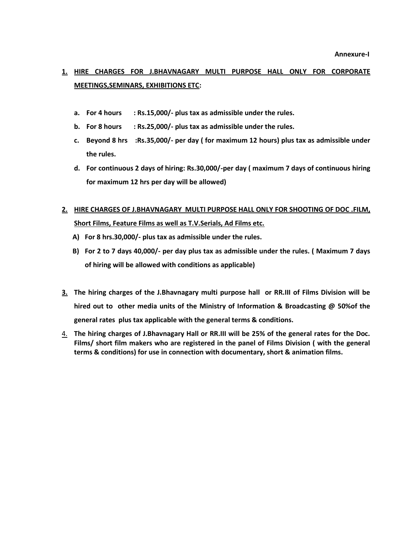## **1. HIRE CHARGES FOR J.BHAVNAGARY MULTI PURPOSE HALL ONLY FOR CORPORATE MEETINGS,SEMINARS, EXHIBITIONS ETC:**

- **a. For 4 hours : Rs.15,000/- plus tax as admissible under the rules.**
- **b. For 8 hours : Rs.25,000/- plus tax as admissible under the rules.**
- **c. Beyond 8 hrs :Rs.35,000/- per day ( for maximum 12 hours) plus tax as admissible under the rules.**
- **d. For continuous 2 days of hiring: Rs.30,000/-per day ( maximum 7 days of continuous hiring for maximum 12 hrs per day will be allowed)**

# **2. HIRE CHARGES OF J.BHAVNAGARY MULTI PURPOSE HALL ONLY FOR SHOOTING OF DOC .FILM, Short Films, Feature Films as well as T.V.Serials, Ad Films etc.**

- **A) For 8 hrs.30,000/- plus tax as admissible under the rules.**
- **B) For 2 to 7 days 40,000/- per day plus tax as admissible under the rules. ( Maximum 7 days of hiring will be allowed with conditions as applicable)**
- **3. The hiring charges of the J.Bhavnagary multi purpose hall or RR.III of Films Division will be hired out to other media units of the Ministry of Information & Broadcasting @ 50%of the general rates plus tax applicable with the general terms & conditions.**
- 4. **The hiring charges of J.Bhavnagary Hall or RR.III will be 25% of the general rates for the Doc. Films/ short film makers who are registered in the panel of Films Division ( with the general terms & conditions) for use in connection with documentary, short & animation films.**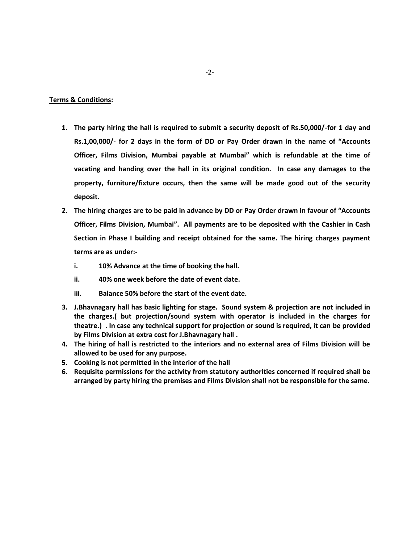#### **Terms & Conditions:**

- **1. The party hiring the hall is required to submit a security deposit of Rs.50,000/-for 1 day and Rs.1,00,000/- for 2 days in the form of DD or Pay Order drawn in the name of "Accounts Officer, Films Division, Mumbai payable at Mumbai" which is refundable at the time of vacating and handing over the hall in its original condition. In case any damages to the property, furniture/fixture occurs, then the same will be made good out of the security deposit.**
- **2. The hiring charges are to be paid in advance by DD or Pay Order drawn in favour of "Accounts Officer, Films Division, Mumbai". All payments are to be deposited with the Cashier in Cash Section in Phase I building and receipt obtained for the same. The hiring charges payment terms are as under:**
	- **i. 10% Advance at the time of booking the hall.**
	- **ii. 40% one week before the date of event date.**
	- **iii. Balance 50% before the start of the event date.**
- **3. J.Bhavnagary hall has basic lighting for stage. Sound system & projection are not included in the charges.( but projection/sound system with operator is included in the charges for theatre.) . In case any technical support for projection or sound is required, it can be provided by Films Division at extra cost for J.Bhavnagary hall .**
- **4. The hiring of hall is restricted to the interiors and no external area of Films Division will be allowed to be used for any purpose.**
- **5. Cooking is not permitted in the interior of the hall**
- **6. Requisite permissions for the activity from statutory authorities concerned if required shall be arranged by party hiring the premises and Films Division shall not be responsible for the same.**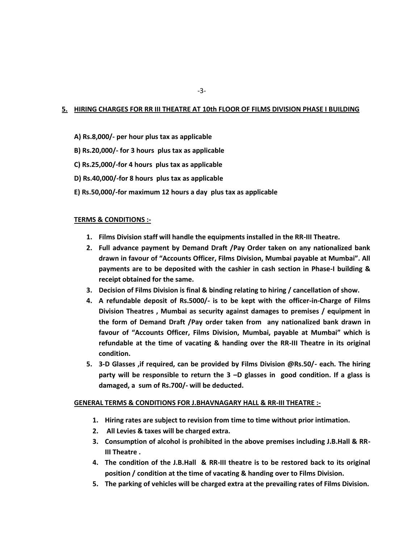#### **5. HIRING CHARGES FOR RR III THEATRE AT 10th FLOOR OF FILMS DIVISION PHASE I BUILDING**

- **A) Rs.8,000/- per hour plus tax as applicable**
- **B) Rs.20,000/- for 3 hours plus tax as applicable**
- **C) Rs.25,000/-for 4 hours plus tax as applicable**
- **D) Rs.40,000/-for 8 hours plus tax as applicable**
- **E) Rs.50,000/-for maximum 12 hours a day plus tax as applicable**

#### **TERMS & CONDITIONS :-**

- **1. Films Division staff will handle the equipments installed in the RR-III Theatre.**
- **2. Full advance payment by Demand Draft /Pay Order taken on any nationalized bank drawn in favour of "Accounts Officer, Films Division, Mumbai payable at Mumbai". All payments are to be deposited with the cashier in cash section in Phase-I building & receipt obtained for the same.**
- **3. Decision of Films Division is final & binding relating to hiring / cancellation of show.**
- **4. A refundable deposit of Rs.5000/- is to be kept with the officer-in-Charge of Films Division Theatres , Mumbai as security against damages to premises / equipment in the form of Demand Draft /Pay order taken from any nationalized bank drawn in favour of "Accounts Officer, Films Division, Mumbai, payable at Mumbai" which is refundable at the time of vacating & handing over the RR-III Theatre in its original condition.**
- **5. 3-D Glasses ,if required, can be provided by Films Division @Rs.50/- each. The hiring party will be responsible to return the 3 –D glasses in good condition. If a glass is damaged, a sum of Rs.700/- will be deducted.**

#### **GENERAL TERMS & CONDITIONS FOR J.BHAVNAGARY HALL & RR-III THEATRE :-**

- **1. Hiring rates are subject to revision from time to time without prior intimation.**
- **2. All Levies & taxes will be charged extra.**
- **3. Consumption of alcohol is prohibited in the above premises including J.B.Hall & RR-III Theatre .**
- **4. The condition of the J.B.Hall & RR-III theatre is to be restored back to its original position / condition at the time of vacating & handing over to Films Division.**
- **5. The parking of vehicles will be charged extra at the prevailing rates of Films Division.**